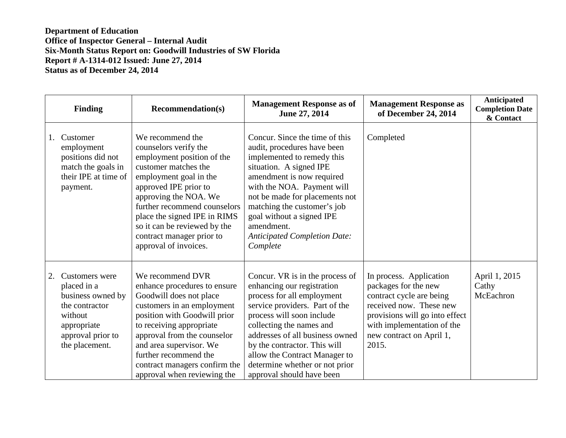|    | <b>Finding</b>                                                                                                                        | <b>Recommendation(s)</b>                                                                                                                                                                                                                                                                                                          | <b>Management Response as of</b><br>June 27, 2014                                                                                                                                                                                                                                                                                                         | <b>Management Response as</b><br>of December 24, 2014                                                                                                                                                       | Anticipated<br><b>Completion Date</b><br>& Contact |
|----|---------------------------------------------------------------------------------------------------------------------------------------|-----------------------------------------------------------------------------------------------------------------------------------------------------------------------------------------------------------------------------------------------------------------------------------------------------------------------------------|-----------------------------------------------------------------------------------------------------------------------------------------------------------------------------------------------------------------------------------------------------------------------------------------------------------------------------------------------------------|-------------------------------------------------------------------------------------------------------------------------------------------------------------------------------------------------------------|----------------------------------------------------|
| 1. | Customer<br>employment<br>positions did not<br>match the goals in<br>their IPE at time of<br>payment.                                 | We recommend the<br>counselors verify the<br>employment position of the<br>customer matches the<br>employment goal in the<br>approved IPE prior to<br>approving the NOA. We<br>further recommend counselors<br>place the signed IPE in RIMS<br>so it can be reviewed by the<br>contract manager prior to<br>approval of invoices. | Concur. Since the time of this<br>audit, procedures have been<br>implemented to remedy this<br>situation. A signed IPE<br>amendment is now required<br>with the NOA. Payment will<br>not be made for placements not<br>matching the customer's job<br>goal without a signed IPE<br>amendment.<br><b>Anticipated Completion Date:</b><br>Complete          | Completed                                                                                                                                                                                                   |                                                    |
| 2. | Customers were<br>placed in a<br>business owned by<br>the contractor<br>without<br>appropriate<br>approval prior to<br>the placement. | We recommend DVR<br>enhance procedures to ensure<br>Goodwill does not place<br>customers in an employment<br>position with Goodwill prior<br>to receiving appropriate<br>approval from the counselor<br>and area supervisor. We<br>further recommend the<br>contract managers confirm the<br>approval when reviewing the          | Concur. VR is in the process of<br>enhancing our registration<br>process for all employment<br>service providers. Part of the<br>process will soon include<br>collecting the names and<br>addresses of all business owned<br>by the contractor. This will<br>allow the Contract Manager to<br>determine whether or not prior<br>approval should have been | In process. Application<br>packages for the new<br>contract cycle are being<br>received now. These new<br>provisions will go into effect<br>with implementation of the<br>new contract on April 1,<br>2015. | April 1, 2015<br>Cathy<br>McEachron                |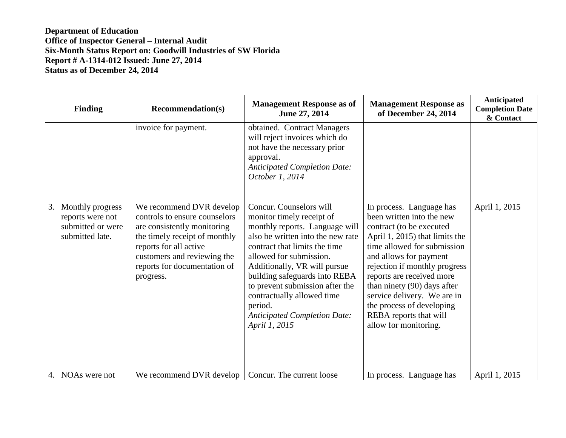| <b>Finding</b>                                                                     | <b>Recommendation(s)</b>                                                                                                                                                                                                        | <b>Management Response as of</b><br>June 27, 2014                                                                                                                                                                                                                                                                                                                                            | <b>Management Response as</b><br>of December 24, 2014                                                                                                                                                                                                                                                                                                                                    | Anticipated<br><b>Completion Date</b><br>& Contact |
|------------------------------------------------------------------------------------|---------------------------------------------------------------------------------------------------------------------------------------------------------------------------------------------------------------------------------|----------------------------------------------------------------------------------------------------------------------------------------------------------------------------------------------------------------------------------------------------------------------------------------------------------------------------------------------------------------------------------------------|------------------------------------------------------------------------------------------------------------------------------------------------------------------------------------------------------------------------------------------------------------------------------------------------------------------------------------------------------------------------------------------|----------------------------------------------------|
|                                                                                    | invoice for payment.                                                                                                                                                                                                            | obtained. Contract Managers<br>will reject invoices which do<br>not have the necessary prior<br>approval.<br><b>Anticipated Completion Date:</b><br>October 1, 2014                                                                                                                                                                                                                          |                                                                                                                                                                                                                                                                                                                                                                                          |                                                    |
| Monthly progress<br>3.<br>reports were not<br>submitted or were<br>submitted late. | We recommend DVR develop<br>controls to ensure counselors<br>are consistently monitoring<br>the timely receipt of monthly<br>reports for all active<br>customers and reviewing the<br>reports for documentation of<br>progress. | Concur. Counselors will<br>monitor timely receipt of<br>monthly reports. Language will<br>also be written into the new rate<br>contract that limits the time<br>allowed for submission.<br>Additionally, VR will pursue<br>building safeguards into REBA<br>to prevent submission after the<br>contractually allowed time<br>period.<br><b>Anticipated Completion Date:</b><br>April 1, 2015 | In process. Language has<br>been written into the new<br>contract (to be executed<br>April 1, 2015) that limits the<br>time allowed for submission<br>and allows for payment<br>rejection if monthly progress<br>reports are received more<br>than ninety (90) days after<br>service delivery. We are in<br>the process of developing<br>REBA reports that will<br>allow for monitoring. | April 1, 2015                                      |
| 4. NOAs were not                                                                   | We recommend DVR develop $\vert$ Concur. The current loose                                                                                                                                                                      |                                                                                                                                                                                                                                                                                                                                                                                              | In process. Language has                                                                                                                                                                                                                                                                                                                                                                 | April 1, 2015                                      |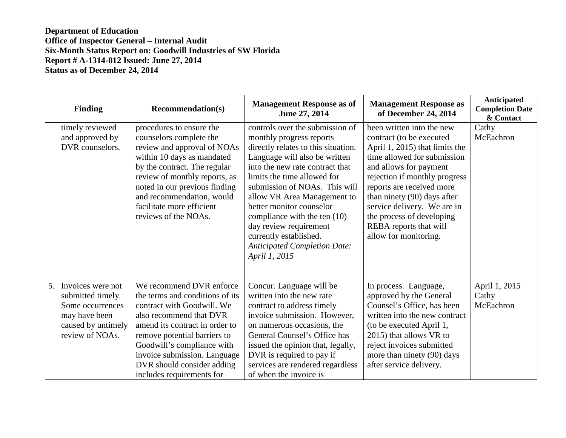| <b>Finding</b>                                                                                                             | <b>Recommendation(s)</b>                                                                                                                                                                                                                                                                                        | <b>Management Response as of</b><br>June 27, 2014                                                                                                                                                                                                                                                                                                                                                                                             | <b>Management Response as</b><br>of December 24, 2014                                                                                                                                                                                                                                                                                                        | <b>Anticipated</b><br><b>Completion Date</b><br>& Contact |
|----------------------------------------------------------------------------------------------------------------------------|-----------------------------------------------------------------------------------------------------------------------------------------------------------------------------------------------------------------------------------------------------------------------------------------------------------------|-----------------------------------------------------------------------------------------------------------------------------------------------------------------------------------------------------------------------------------------------------------------------------------------------------------------------------------------------------------------------------------------------------------------------------------------------|--------------------------------------------------------------------------------------------------------------------------------------------------------------------------------------------------------------------------------------------------------------------------------------------------------------------------------------------------------------|-----------------------------------------------------------|
| timely reviewed<br>and approved by<br>DVR counselors.                                                                      | procedures to ensure the<br>counselors complete the<br>review and approval of NOAs<br>within 10 days as mandated<br>by the contract. The regular<br>review of monthly reports, as<br>noted in our previous finding<br>and recommendation, would<br>facilitate more efficient<br>reviews of the NOAs.            | controls over the submission of<br>monthly progress reports<br>directly relates to this situation.<br>Language will also be written<br>into the new rate contract that<br>limits the time allowed for<br>submission of NOAs. This will<br>allow VR Area Management to<br>better monitor counselor<br>compliance with the ten (10)<br>day review requirement<br>currently established.<br><b>Anticipated Completion Date:</b><br>April 1, 2015 | been written into the new<br>contract (to be executed<br>April 1, 2015) that limits the<br>time allowed for submission<br>and allows for payment<br>rejection if monthly progress<br>reports are received more<br>than ninety (90) days after<br>service delivery. We are in<br>the process of developing<br>REBA reports that will<br>allow for monitoring. | Cathy<br>McEachron                                        |
| Invoices were not<br>5.<br>submitted timely.<br>Some occurrences<br>may have been<br>caused by untimely<br>review of NOAs. | We recommend DVR enforce<br>the terms and conditions of its<br>contract with Goodwill. We<br>also recommend that DVR<br>amend its contract in order to<br>remove potential barriers to<br>Goodwill's compliance with<br>invoice submission. Language<br>DVR should consider adding<br>includes requirements for | Concur. Language will be<br>written into the new rate<br>contract to address timely<br>invoice submission. However,<br>on numerous occasions, the<br>General Counsel's Office has<br>issued the opinion that, legally,<br>DVR is required to pay if<br>services are rendered regardless<br>of when the invoice is                                                                                                                             | In process. Language,<br>approved by the General<br>Counsel's Office, has been<br>written into the new contract<br>(to be executed April 1,<br>2015) that allows VR to<br>reject invoices submitted<br>more than ninety (90) days<br>after service delivery.                                                                                                 | April 1, 2015<br>Cathy<br>McEachron                       |